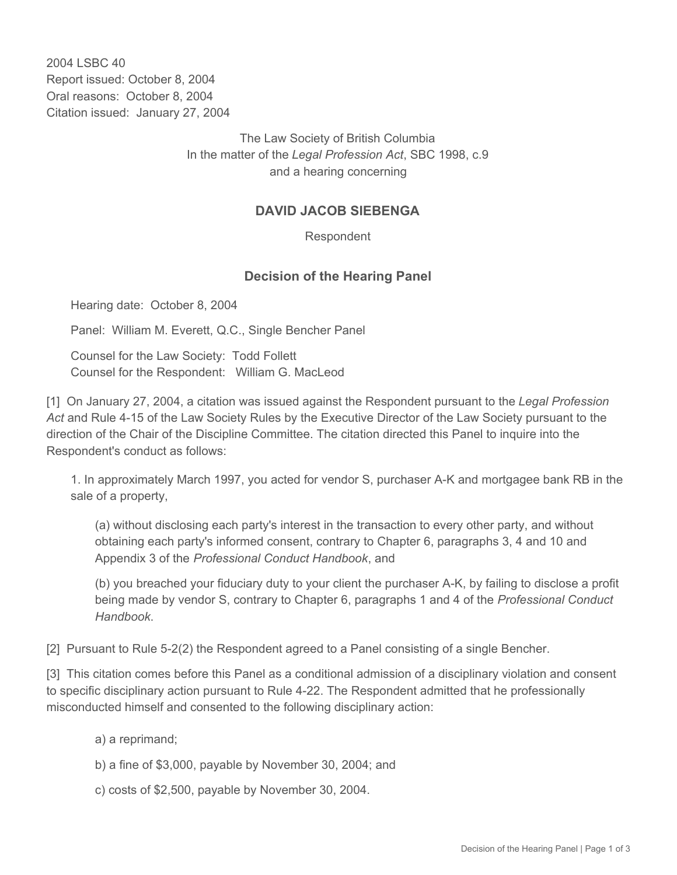2004 LSBC 40 Report issued: October 8, 2004 Oral reasons: October 8, 2004 Citation issued: January 27, 2004

> The Law Society of British Columbia In the matter of the *Legal Profession Act*, SBC 1998, c.9 and a hearing concerning

## **DAVID JACOB SIEBENGA**

Respondent

## **Decision of the Hearing Panel**

Hearing date: October 8, 2004

Panel: William M. Everett, Q.C., Single Bencher Panel

Counsel for the Law Society: Todd Follett Counsel for the Respondent: William G. MacLeod

[1] On January 27, 2004, a citation was issued against the Respondent pursuant to the *Legal Profession Act* and Rule 4-15 of the Law Society Rules by the Executive Director of the Law Society pursuant to the direction of the Chair of the Discipline Committee. The citation directed this Panel to inquire into the Respondent's conduct as follows:

1. In approximately March 1997, you acted for vendor S, purchaser A-K and mortgagee bank RB in the sale of a property,

(a) without disclosing each party's interest in the transaction to every other party, and without obtaining each party's informed consent, contrary to Chapter 6, paragraphs 3, 4 and 10 and Appendix 3 of the *Professional Conduct Handbook*, and

(b) you breached your fiduciary duty to your client the purchaser A-K, by failing to disclose a profit being made by vendor S, contrary to Chapter 6, paragraphs 1 and 4 of the *Professional Conduct Handbook*.

[2] Pursuant to Rule 5-2(2) the Respondent agreed to a Panel consisting of a single Bencher.

[3] This citation comes before this Panel as a conditional admission of a disciplinary violation and consent to specific disciplinary action pursuant to Rule 4-22. The Respondent admitted that he professionally misconducted himself and consented to the following disciplinary action:

a) a reprimand;

- b) a fine of \$3,000, payable by November 30, 2004; and
- c) costs of \$2,500, payable by November 30, 2004.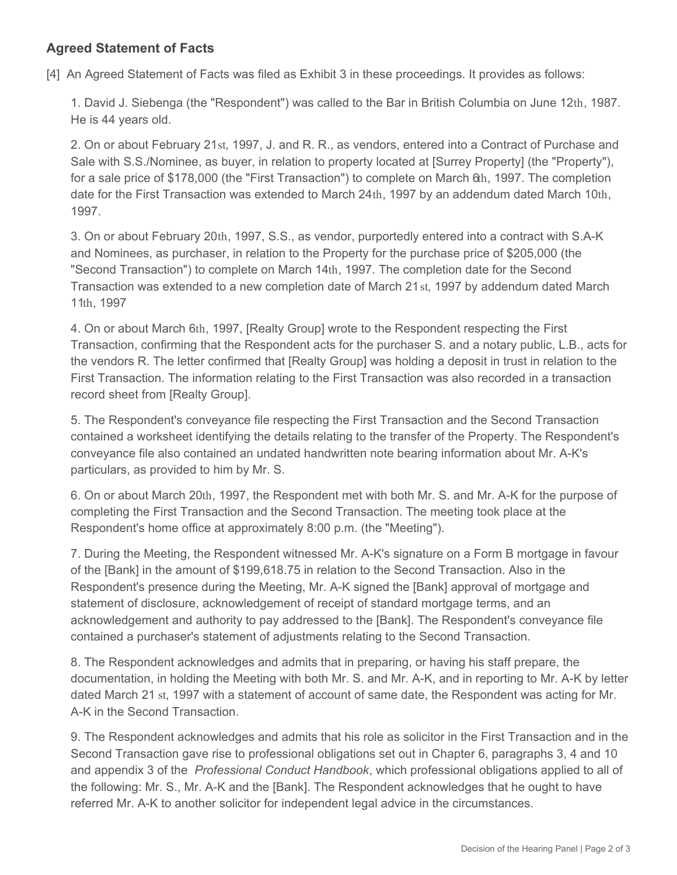## **Agreed Statement of Facts**

[4] An Agreed Statement of Facts was filed as Exhibit 3 in these proceedings. It provides as follows:

1. David J. Siebenga (the "Respondent") was called to the Bar in British Columbia on June 12th, 1987. He is 44 years old.

2. On or about February 21st, 1997, J. and R. R., as vendors, entered into a Contract of Purchase and Sale with S.S./Nominee, as buyer, in relation to property located at [Surrey Property] (the "Property"), for a sale price of \$178,000 (the "First Transaction") to complete on March 6th, 1997. The completion date for the First Transaction was extended to March 24th, 1997 by an addendum dated March 10th, 1997.

3. On or about February 20th, 1997, S.S., as vendor, purportedly entered into a contract with S.A-K and Nominees, as purchaser, in relation to the Property for the purchase price of \$205,000 (the "Second Transaction") to complete on March 14th, 1997. The completion date for the Second Transaction was extended to a new completion date of March 21st, 1997 by addendum dated March 11th, 1997

4. On or about March 6th, 1997, [Realty Group] wrote to the Respondent respecting the First Transaction, confirming that the Respondent acts for the purchaser S. and a notary public, L.B., acts for the vendors R. The letter confirmed that [Realty Group] was holding a deposit in trust in relation to the First Transaction. The information relating to the First Transaction was also recorded in a transaction record sheet from [Realty Group].

5. The Respondent's conveyance file respecting the First Transaction and the Second Transaction contained a worksheet identifying the details relating to the transfer of the Property. The Respondent's conveyance file also contained an undated handwritten note bearing information about Mr. A-K's particulars, as provided to him by Mr. S.

6. On or about March 20th, 1997, the Respondent met with both Mr. S. and Mr. A-K for the purpose of completing the First Transaction and the Second Transaction. The meeting took place at the Respondent's home office at approximately 8:00 p.m. (the "Meeting").

7. During the Meeting, the Respondent witnessed Mr. A-K's signature on a Form B mortgage in favour of the [Bank] in the amount of \$199,618.75 in relation to the Second Transaction. Also in the Respondent's presence during the Meeting, Mr. A-K signed the [Bank] approval of mortgage and statement of disclosure, acknowledgement of receipt of standard mortgage terms, and an acknowledgement and authority to pay addressed to the [Bank]. The Respondent's conveyance file contained a purchaser's statement of adjustments relating to the Second Transaction.

8. The Respondent acknowledges and admits that in preparing, or having his staff prepare, the documentation, in holding the Meeting with both Mr. S. and Mr. A-K, and in reporting to Mr. A-K by letter dated March 21 st, 1997 with a statement of account of same date, the Respondent was acting for Mr. A-K in the Second Transaction.

9. The Respondent acknowledges and admits that his role as solicitor in the First Transaction and in the Second Transaction gave rise to professional obligations set out in Chapter 6, paragraphs 3, 4 and 10 and appendix 3 of the *Professional Conduct Handbook*, which professional obligations applied to all of the following: Mr. S., Mr. A-K and the [Bank]. The Respondent acknowledges that he ought to have referred Mr. A-K to another solicitor for independent legal advice in the circumstances.